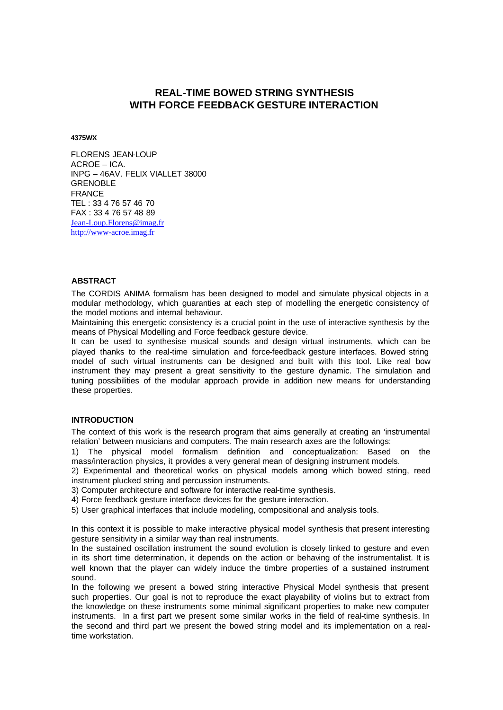# **REAL-TIME BOWED STRING SYNTHESIS WITH FORCE FEEDBACK GESTURE INTERACTION**

**4375WX**

FLORENS JEAN-LOUP ACROE – ICA. INPG – 46AV. FELIX VIALLET 38000 GRENOBLE FRANCE TEL : 33 4 76 57 46 70 FAX : 33 4 76 57 48 89 Jean-Loup.Florens@imag.fr http://www-acroe.imag.fr

## **ABSTRACT**

The CORDIS ANIMA formalism has been designed to model and simulate physical objects in a modular methodology, which guaranties at each step of modelling the energetic consistency of the model motions and internal behaviour.

Maintaining this energetic consistency is a crucial point in the use of interactive synthesis by the means of Physical Modelling and Force feedback gesture device.

It can be used to synthesise musical sounds and design virtual instruments, which can be played thanks to the real-time simulation and force-feedback gesture interfaces. Bowed string model of such virtual instruments can be designed and built with this tool. Like real bow instrument they may present a great sensitivity to the gesture dynamic. The simulation and tuning possibilities of the modular approach provide in addition new means for understanding these properties.

## **INTRODUCTION**

The context of this work is the research program that aims generally at creating an 'instrumental relation' between musicians and computers. The main research axes are the followings:

1) The physical model formalism definition and conceptualization: Based on the mass/interaction physics, it provides a very general mean of designing instrument models.

2) Experimental and theoretical works on physical models among which bowed string, reed instrument plucked string and percussion instruments.

3) Computer architecture and software for interactive real-time synthesis.

4) Force feedback gesture interface devices for the gesture interaction.

5) User graphical interfaces that include modeling, compositional and analysis tools.

In this context it is possible to make interactive physical model synthesis that present interesting gesture sensitivity in a similar way than real instruments.

In the sustained oscillation instrument the sound evolution is closely linked to gesture and even in its short time determination, it depends on the action or behaving of the instrumentalist. It is well known that the player can widely induce the timbre properties of a sustained instrument sound.

In the following we present a bowed string interactive Physical Model synthesis that present such properties. Our goal is not to reproduce the exact playability of violins but to extract from the knowledge on these instruments some minimal significant properties to make new computer instruments. In a first part we present some similar works in the field of real-time synthesis. In the second and third part we present the bowed string model and its implementation on a realtime workstation.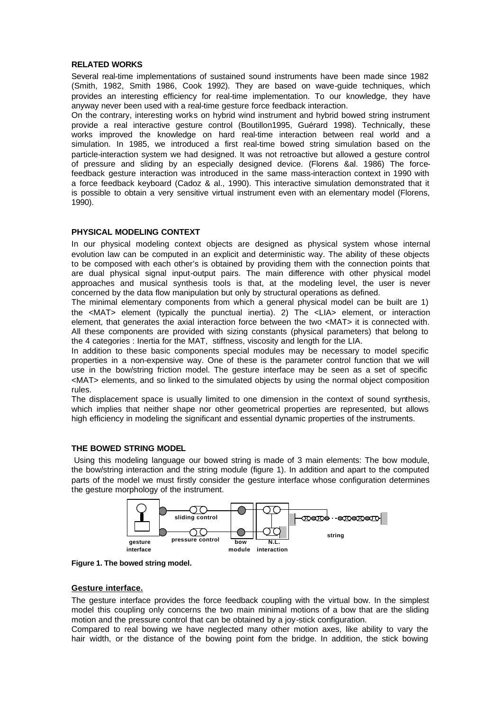#### **RELATED WORKS**

Several real-time implementations of sustained sound instruments have been made since 1982 (Smith, 1982, Smith 1986, Cook 1992). They are based on wave-guide techniques, which provides an interesting efficiency for real-time implementation. To our knowledge, they have anyway never been used with a real-time gesture force feedback interaction.

On the contrary, interesting works on hybrid wind instrument and hybrid bowed string instrument provide a real interactive gesture control (Boutillon1995, Guérard 1998). Technically, these works improved the knowledge on hard real-time interaction between real world and a simulation. In 1985, we introduced a first real-time bowed string simulation based on the particle-interaction system we had designed. It was not retroactive but allowed a gesture control of pressure and sliding by an especially designed device. (Florens &al. 1986) The forcefeedback gesture interaction was introduced in the same mass-interaction context in 1990 with a force feedback keyboard (Cadoz & al., 1990). This interactive simulation demonstrated that it is possible to obtain a very sensitive virtual instrument even with an elementary model (Florens, 1990).

## **PHYSICAL MODELING CONTEXT**

In our physical modeling context objects are designed as physical system whose internal evolution law can be computed in an explicit and deterministic way. The ability of these objects to be composed with each other's is obtained by providing them with the connection points that are dual physical signal input-output pairs. The main difference with other physical model approaches and musical synthesis tools is that, at the modeling level, the user is never concerned by the data flow manipulation but only by structural operations as defined.

The minimal elementary components from which a general physical model can be built are 1) the <MAT> element (typically the punctual inertia). 2) The <LIA> element, or interaction element, that generates the axial interaction force between the two <MAT> it is connected with. All these components are provided with sizing constants (physical parameters) that belong to the 4 categories : Inertia for the MAT, stiffness, viscosity and length for the LIA.

In addition to these basic components special modules may be necessary to model specific properties in a non-expensive way. One of these is the parameter control function that we will use in the bow/string friction model. The gesture interface may be seen as a set of specific <MAT> elements, and so linked to the simulated objects by using the normal object composition rules.

The displacement space is usually limited to one dimension in the context of sound synthesis, which implies that neither shape nor other geometrical properties are represented, but allows high efficiency in modeling the significant and essential dynamic properties of the instruments.

# **THE BOWED STRING MODEL**

Using this modeling language our bowed string is made of 3 main elements: The bow module, the bow/string interaction and the string module (figure 1). In addition and apart to the computed parts of the model we must firstly consider the gesture interface whose configuration determines the gesture morphology of the instrument.



**Figure 1. The bowed string model.**

## **Gesture interface.**

The gesture interface provides the force feedback coupling with the virtual bow. In the simplest model this coupling only concerns the two main minimal motions of a bow that are the sliding motion and the pressure control that can be obtained by a joy-stick configuration.

Compared to real bowing we have neglected many other motion axes, like ability to vary the hair width, or the distance of the bowing point fom the bridge. In addition, the stick bowing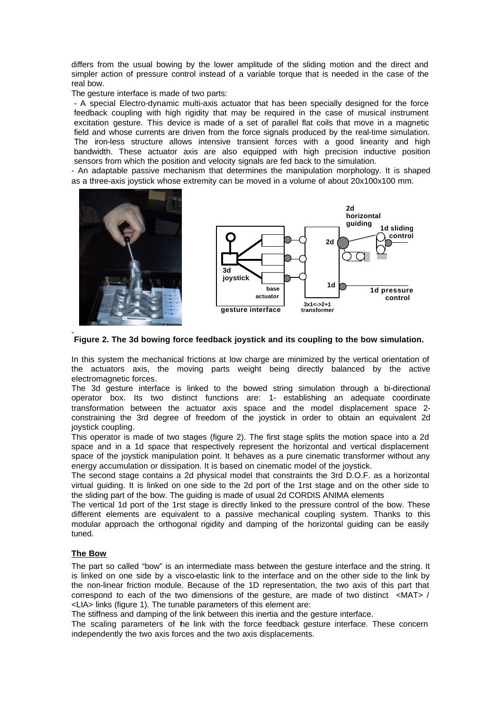differs from the usual bowing by the lower amplitude of the sliding motion and the direct and simpler action of pressure control instead of a variable torque that is needed in the case of the real bow.

The gesture interface is made of two parts:

- A special Electro-dynamic multi-axis actuator that has been specially designed for the force feedback coupling with high rigidity that may be required in the case of musical instrument excitation gesture. This device is made of a set of parallel flat coils that move in a magnetic field and whose currents are driven from the force signals produced by the real-time simulation. The iron-less structure allows intensive transient forces with a good linearity and high bandwidth. These actuator axis are also equipped with high precision inductive position sensors from which the position and velocity signals are fed back to the simulation.

- An adaptable passive mechanism that determines the manipulation morphology. It is shaped as a three-axis joystick whose extremity can be moved in a volume of about 20x100x100 mm.





**Figure 2. The 3d bowing force feedback joystick and its coupling to the bow simulation.**

In this system the mechanical frictions at low charge are minimized by the vertical orientation of the actuators axis, the moving parts weight being directly balanced by the active electromagnetic forces.

The 3d gesture interface is linked to the bowed string simulation through a bi-directional operator box. Its two distinct functions are: 1- establishing an adequate coordinate transformation between the actuator axis space and the model displacement space 2 constraining the 3rd degree of freedom of the joystick in order to obtain an equivalent 2d joystick coupling.

This operator is made of two stages (figure 2). The first stage splits the motion space into a 2d space and in a 1d space that respectively represent the horizontal and vertical displacement space of the joystick manipulation point. It behaves as a pure cinematic transformer without any energy accumulation or dissipation. It is based on cinematic model of the joystick.

The second stage contains a 2d physical model that constraints the 3rd D.O.F. as a horizontal virtual guiding. It is linked on one side to the 2d port of the 1rst stage and on the other side to the sliding part of the bow. The guiding is made of usual 2d CORDIS ANIMA elements

The vertical 1d port of the 1rst stage is directly linked to the pressure control of the bow. These different elements are equivalent to a passive mechanical coupling system. Thanks to this modular approach the orthogonal rigidity and damping of the horizontal guiding can be easily tuned.

## **The Bow**

The part so called "bow" is an intermediate mass between the gesture interface and the string. It is linked on one side by a visco-elastic link to the interface and on the other side to the link by the non-linear friction module. Because of the 1D representation, the two axis of this part that correspond to each of the two dimensions of the gesture, are made of two distinct <MAT> / <LIA> links (figure 1). The tunable parameters of this element are:

The stiffness and damping of the link between this inertia and the gesture interface.

The scaling parameters of the link with the force feedback gesture interface. These concern independently the two axis forces and the two axis displacements.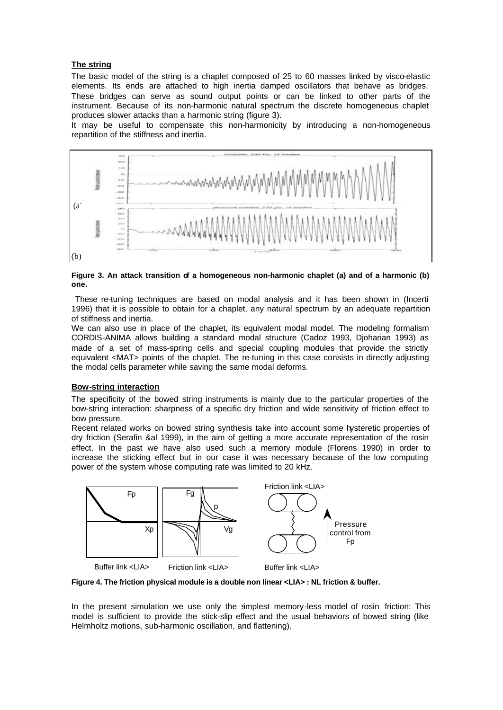## **The string**

The basic model of the string is a chaplet composed of 25 to 60 masses linked by visco-elastic elements. Its ends are attached to high inertia damped oscillators that behave as bridges. These bridges can serve as sound output points or can be linked to other parts of the instrument. Because of its non-harmonic natural spectrum the discrete homogeneous chaplet produces slower attacks than a harmonic string (figure 3).

It may be useful to compensate this non-harmonicity by introducing a non-homogeneous repartition of the stiffness and inertia.



**Figure 3. An attack transition of a homogeneous non-harmonic chaplet (a) and of a harmonic (b) one.**

 These re-tuning techniques are based on modal analysis and it has been shown in (Incerti 1996) that it is possible to obtain for a chaplet, any natural spectrum by an adequate repartition of stiffness and inertia.

We can also use in place of the chaplet, its equivalent modal model. The modeling formalism CORDIS-ANIMA allows building a standard modal structure (Cadoz 1993, Djoharian 1993) as made of a set of mass-spring cells and special coupling modules that provide the strictly equivalent <MAT> points of the chaplet. The re-tuning in this case consists in directly adjusting the modal cells parameter while saving the same modal deforms.

## **Bow-string interaction**

The specificity of the bowed string instruments is mainly due to the particular properties of the bow-string interaction: sharpness of a specific dry friction and wide sensitivity of friction effect to bow pressure.

Recent related works on bowed string synthesis take into account some hysteretic properties of dry friction (Serafin &al 1999), in the aim of getting a more accurate representation of the rosin effect. In the past we have also used such a memory module (Florens 1990) in order to increase the sticking effect but in our case it was necessary because of the low computing power of the system whose computing rate was limited to 20 kHz.



**Figure 4. The friction physical module is a double non linear <LIA> : NL friction & buffer.**

In the present simulation we use only the simplest memory-less model of rosin friction: This model is sufficient to provide the stick-slip effect and the usual behaviors of bowed string (like Helmholtz motions, sub-harmonic oscillation, and flattening).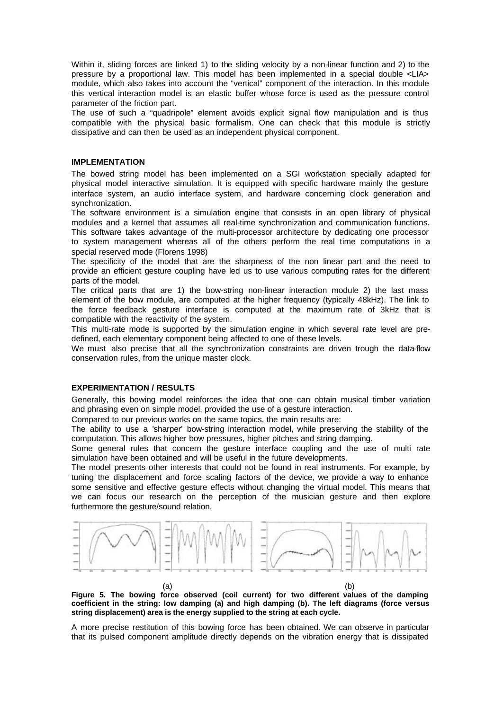Within it, sliding forces are linked 1) to the sliding velocity by a non-linear function and 2) to the pressure by a proportional law. This model has been implemented in a special double <LIA> module, which also takes into account the "vertical" component of the interaction. In this module this vertical interaction model is an elastic buffer whose force is used as the pressure control parameter of the friction part.

The use of such a "quadripole" element avoids explicit signal flow manipulation and is thus compatible with the physical basic formalism. One can check that this module is strictly dissipative and can then be used as an independent physical component.

## **IMPLEMENTATION**

The bowed string model has been implemented on a SGI workstation specially adapted for physical model interactive simulation. It is equipped with specific hardware mainly the gesture interface system, an audio interface system, and hardware concerning clock generation and synchronization.

The software environment is a simulation engine that consists in an open library of physical modules and a kernel that assumes all real-time synchronization and communication functions. This software takes advantage of the multi-processor architecture by dedicating one processor to system management whereas all of the others perform the real time computations in a special reserved mode (Florens 1998)

The specificity of the model that are the sharpness of the non linear part and the need to provide an efficient gesture coupling have led us to use various computing rates for the different parts of the model.

The critical parts that are 1) the bow-string non-linear interaction module 2) the last mass element of the bow module, are computed at the higher frequency (typically 48kHz). The link to the force feedback gesture interface is computed at the maximum rate of 3kHz that is compatible with the reactivity of the system.

This multi-rate mode is supported by the simulation engine in which several rate level are predefined, each elementary component being affected to one of these levels.

We must also precise that all the synchronization constraints are driven trough the data-flow conservation rules, from the unique master clock.

### **EXPERIMENTATION / RESULTS**

Generally, this bowing model reinforces the idea that one can obtain musical timber variation and phrasing even on simple model, provided the use of a gesture interaction.

Compared to our previous works on the same topics, the main results are:

The ability to use a 'sharper' bow-string interaction model, while preserving the stability of the computation. This allows higher bow pressures, higher pitches and string damping.

Some general rules that concern the gesture interface coupling and the use of multi rate simulation have been obtained and will be useful in the future developments.

The model presents other interests that could not be found in real instruments. For example, by tuning the displacement and force scaling factors of the device, we provide a way to enhance some sensitive and effective gesture effects without changing the virtual model. This means that we can focus our research on the perception of the musician gesture and then explore furthermore the gesture/sound relation.



 $(a)$  (b) **Figure 5. The bowing force observed (coil current) for two different values of the damping coefficient in the string: low damping (a) and high damping (b). The left diagrams (force versus string displacement) area is the energy supplied to the string at each cycle.** 

A more precise restitution of this bowing force has been obtained. We can observe in particular that its pulsed component amplitude directly depends on the vibration energy that is dissipated